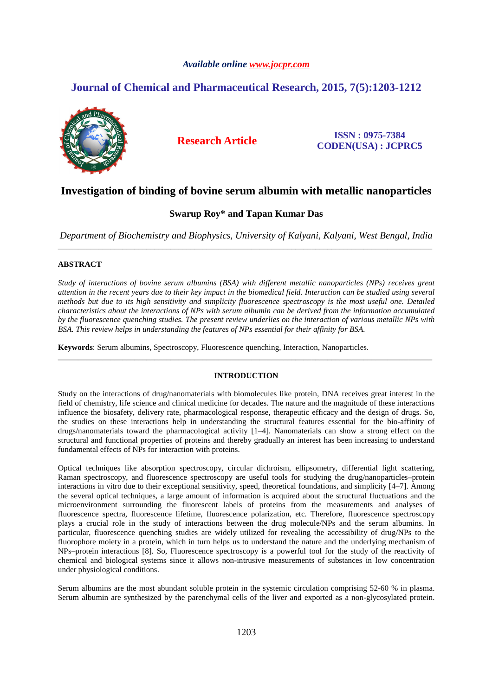## *Available online www.jocpr.com*

# **Journal of Chemical and Pharmaceutical Research, 2015, 7(5):1203-1212**



**Research Article ISSN : 0975-7384 CODEN(USA) : JCPRC5**

# **Investigation of binding of bovine serum albumin with metallic nanoparticles**

## **Swarup Roy\* and Tapan Kumar Das**

*Department of Biochemistry and Biophysics, University of Kalyani, Kalyani, West Bengal, India*  \_\_\_\_\_\_\_\_\_\_\_\_\_\_\_\_\_\_\_\_\_\_\_\_\_\_\_\_\_\_\_\_\_\_\_\_\_\_\_\_\_\_\_\_\_\_\_\_\_\_\_\_\_\_\_\_\_\_\_\_\_\_\_\_\_\_\_\_\_\_\_\_\_\_\_\_\_\_\_\_\_\_\_\_\_\_\_\_\_\_\_\_\_

## **ABSTRACT**

*Study of interactions of bovine serum albumins (BSA) with different metallic nanoparticles (NPs) receives great attention in the recent years due to their key impact in the biomedical field. Interaction can be studied using several methods but due to its high sensitivity and simplicity fluorescence spectroscopy is the most useful one. Detailed characteristics about the interactions of NPs with serum albumin can be derived from the information accumulated by the fluorescence quenching studies. The present review underlies on the interaction of various metallic NPs with BSA. This review helps in understanding the features of NPs essential for their affinity for BSA.* 

**Keywords**: Serum albumins, Spectroscopy, Fluorescence quenching, Interaction, Nanoparticles.

## **INTRODUCTION**

\_\_\_\_\_\_\_\_\_\_\_\_\_\_\_\_\_\_\_\_\_\_\_\_\_\_\_\_\_\_\_\_\_\_\_\_\_\_\_\_\_\_\_\_\_\_\_\_\_\_\_\_\_\_\_\_\_\_\_\_\_\_\_\_\_\_\_\_\_\_\_\_\_\_\_\_\_\_\_\_\_\_\_\_\_\_\_\_\_\_\_\_\_

Study on the interactions of drug/nanomaterials with biomolecules like protein, DNA receives great interest in the field of chemistry, life science and clinical medicine for decades. The nature and the magnitude of these interactions influence the biosafety, delivery rate, pharmacological response, therapeutic efficacy and the design of drugs. So, the studies on these interactions help in understanding the structural features essential for the bio-affinity of drugs/nanomaterials toward the pharmacological activity [1–4]. Nanomaterials can show a strong effect on the structural and functional properties of proteins and thereby gradually an interest has been increasing to understand fundamental effects of NPs for interaction with proteins.

Optical techniques like absorption spectroscopy, circular dichroism, ellipsometry, differential light scattering, Raman spectroscopy, and fluorescence spectroscopy are useful tools for studying the drug/nanoparticles–protein interactions in vitro due to their exceptional sensitivity, speed, theoretical foundations, and simplicity [4–7]. Among the several optical techniques, a large amount of information is acquired about the structural fluctuations and the microenvironment surrounding the fluorescent labels of proteins from the measurements and analyses of fluorescence spectra, fluorescence lifetime, fluorescence polarization, etc. Therefore, fluorescence spectroscopy plays a crucial role in the study of interactions between the drug molecule/NPs and the serum albumins. In particular, fluorescence quenching studies are widely utilized for revealing the accessibility of drug/NPs to the fluorophore moiety in a protein, which in turn helps us to understand the nature and the underlying mechanism of NPs–protein interactions [8]. So, Fluorescence spectroscopy is a powerful tool for the study of the reactivity of chemical and biological systems since it allows non-intrusive measurements of substances in low concentration under physiological conditions.

Serum albumins are the most abundant soluble protein in the systemic circulation comprising 52-60 % in plasma. Serum albumin are synthesized by the parenchymal cells of the liver and exported as a non-glycosylated protein.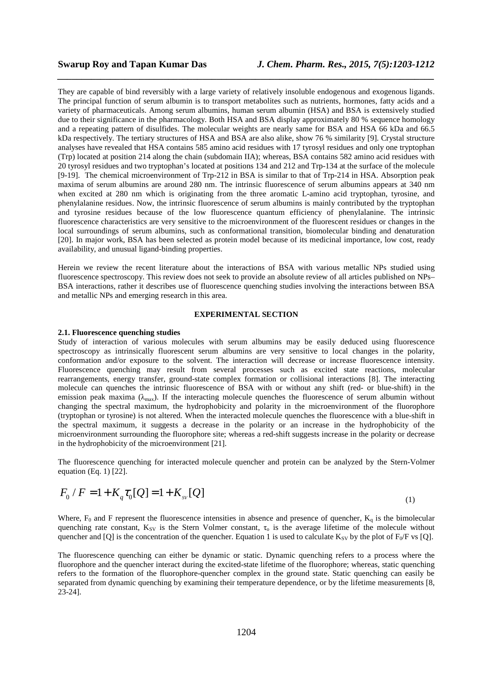They are capable of bind reversibly with a large variety of relatively insoluble endogenous and exogenous ligands. The principal function of serum albumin is to transport metabolites such as nutrients, hormones, fatty acids and a variety of pharmaceuticals. Among serum albumins, human serum albumin (HSA) and BSA is extensively studied due to their significance in the pharmacology. Both HSA and BSA display approximately 80 % sequence homology and a repeating pattern of disulfides. The molecular weights are nearly same for BSA and HSA 66 kDa and 66.5 kDa respectively. The tertiary structures of HSA and BSA are also alike, show 76 % similarity [9]. Crystal structure analyses have revealed that HSA contains 585 amino acid residues with 17 tyrosyl residues and only one tryptophan (Trp) located at position 214 along the chain (subdomain IIA); whereas, BSA contains 582 amino acid residues with 20 tyrosyl residues and two tryptophan's located at positions 134 and 212 and Trp-134 at the surface of the molecule [9-19]. The chemical microenvironment of Trp-212 in BSA is similar to that of Trp-214 in HSA. Absorption peak maxima of serum albumins are around 280 nm. The intrinsic fluorescence of serum albumins appears at 340 nm when excited at 280 nm which is originating from the three aromatic L-amino acid tryptophan, tyrosine, and phenylalanine residues. Now, the intrinsic fluorescence of serum albumins is mainly contributed by the tryptophan and tyrosine residues because of the low fluorescence quantum efficiency of phenylalanine. The intrinsic fluorescence characteristics are very sensitive to the microenvironment of the fluorescent residues or changes in the local surroundings of serum albumins, such as conformational transition, biomolecular binding and denaturation [20]. In major work, BSA has been selected as protein model because of its medicinal importance, low cost, ready availability, and unusual ligand-binding properties.

*\_\_\_\_\_\_\_\_\_\_\_\_\_\_\_\_\_\_\_\_\_\_\_\_\_\_\_\_\_\_\_\_\_\_\_\_\_\_\_\_\_\_\_\_\_\_\_\_\_\_\_\_\_\_\_\_\_\_\_\_\_\_\_\_\_\_\_\_\_\_\_\_\_\_\_\_\_\_*

Herein we review the recent literature about the interactions of BSA with various metallic NPs studied using fluorescence spectroscopy. This review does not seek to provide an absolute review of all articles published on NPs– BSA interactions, rather it describes use of fluorescence quenching studies involving the interactions between BSA and metallic NPs and emerging research in this area.

### **EXPERIMENTAL SECTION**

## **2.1. Fluorescence quenching studies**

Study of interaction of various molecules with serum albumins may be easily deduced using fluorescence spectroscopy as intrinsically fluorescent serum albumins are very sensitive to local changes in the polarity, conformation and/or exposure to the solvent. The interaction will decrease or increase fluorescence intensity. Fluorescence quenching may result from several processes such as excited state reactions, molecular rearrangements, energy transfer, ground-state complex formation or collisional interactions [8]. The interacting molecule can quenches the intrinsic fluorescence of BSA with or without any shift (red- or blue-shift) in the emission peak maxima  $(\lambda_{\text{max}})$ . If the interacting molecule quenches the fluorescence of serum albumin without changing the spectral maximum, the hydrophobicity and polarity in the microenvironment of the fluorophore (tryptophan or tyrosine) is not altered. When the interacted molecule quenches the fluorescence with a blue-shift in the spectral maximum, it suggests a decrease in the polarity or an increase in the hydrophobicity of the microenvironment surrounding the fluorophore site; whereas a red-shift suggests increase in the polarity or decrease in the hydrophobicity of the microenvironment [21].

The fluorescence quenching for interacted molecule quencher and protein can be analyzed by the Stern-Volmer equation (Eq. 1) [22].

$$
F_0 / F = 1 + K_q \tau_0[Q] = 1 + K_{sv}[Q]
$$
\n<sup>(1)</sup>

Where,  $F_0$  and F represent the fluorescence intensities in absence and presence of quencher,  $K_q$  is the bimolecular quenching rate constant,  $K_{SV}$  is the Stern Volmer constant,  $\tau_0$  is the average lifetime of the molecule without quencher and [Q] is the concentration of the quencher. Equation 1 is used to calculate  $K_{SV}$  by the plot of  $F_0/F$  vs [Q].

The fluorescence quenching can either be dynamic or static. Dynamic quenching refers to a process where the fluorophore and the quencher interact during the excited-state lifetime of the fluorophore; whereas, static quenching refers to the formation of the fluorophore-quencher complex in the ground state. Static quenching can easily be separated from dynamic quenching by examining their temperature dependence, or by the lifetime measurements [8, 23-24].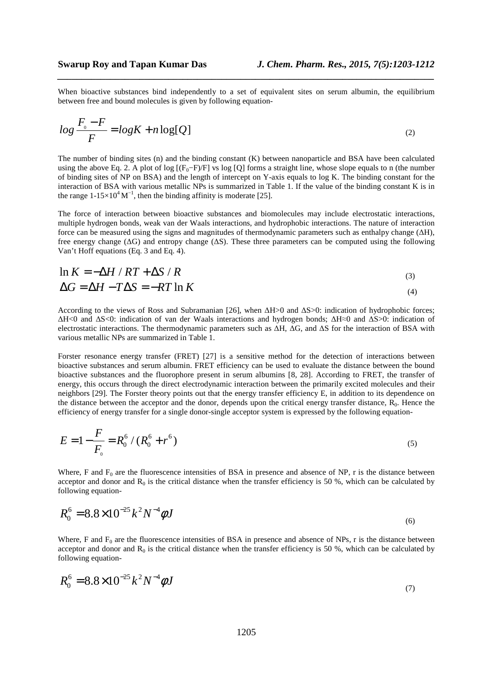When bioactive substances bind independently to a set of equivalent sites on serum albumin, the equilibrium between free and bound molecules is given by following equation-

*\_\_\_\_\_\_\_\_\_\_\_\_\_\_\_\_\_\_\_\_\_\_\_\_\_\_\_\_\_\_\_\_\_\_\_\_\_\_\_\_\_\_\_\_\_\_\_\_\_\_\_\_\_\_\_\_\_\_\_\_\_\_\_\_\_\_\_\_\_\_\_\_\_\_\_\_\_\_*

$$
\log \frac{F_{\scriptscriptstyle 0} - F}{F} = \log K + n \log[Q] \tag{2}
$$

The number of binding sites (n) and the binding constant (K) between nanoparticle and BSA have been calculated using the above Eq. 2. A plot of log  $[(F_0-F)/F]$  vs log  $[Q]$  forms a straight line, whose slope equals to n (the number of binding sites of NP on BSA) and the length of intercept on Y-axis equals to log K. The binding constant for the interaction of BSA with various metallic NPs is summarized in Table 1. If the value of the binding constant K is in the range  $1-15\times10^{4}$  M<sup>-1</sup>, then the binding affinity is moderate [25].

The force of interaction between bioactive substances and biomolecules may include electrostatic interactions, multiple hydrogen bonds, weak van der Waals interactions, and hydrophobic interactions. The nature of interaction force can be measured using the signs and magnitudes of thermodynamic parameters such as enthalpy change (∆H), free energy change (∆G) and entropy change (∆S). These three parameters can be computed using the following Van't Hoff equations (Eq. 3 and Eq. 4).

$$
\ln K = -\Delta H / RT + \Delta S / R
$$
  
\n
$$
\Delta G = \Delta H - T\Delta S = -RT \ln K
$$
\n(3)

According to the views of Ross and Subramanian [26], when ∆H>0 and ∆S>0: indication of hydrophobic forces; ∆H<0 and ∆S<0: indication of van der Waals interactions and hydrogen bonds; ∆H≈0 and ∆S>0: indication of electrostatic interactions. The thermodynamic parameters such as ∆H, ∆G, and ∆S for the interaction of BSA with various metallic NPs are summarized in Table 1.

Forster resonance energy transfer (FRET) [27] is a sensitive method for the detection of interactions between bioactive substances and serum albumin. FRET efficiency can be used to evaluate the distance between the bound bioactive substances and the fluorophore present in serum albumins [8, 28]. According to FRET, the transfer of energy, this occurs through the direct electrodynamic interaction between the primarily excited molecules and their neighbors [29]. The Forster theory points out that the energy transfer efficiency E, in addition to its dependence on the distance between the acceptor and the donor, depends upon the critical energy transfer distance,  $R_0$ . Hence the efficiency of energy transfer for a single donor-single acceptor system is expressed by the following equation-

$$
E = 1 - \frac{F}{F_{0}} = R_{0}^{6} / (R_{0}^{6} + r^{6})
$$
\n<sup>(5)</sup>

Where, F and  $F_0$  are the fluorescence intensities of BSA in presence and absence of NP, r is the distance between acceptor and donor and  $R_0$  is the critical distance when the transfer efficiency is 50 %, which can be calculated by following equation-

$$
R_0^6 = 8.8 \times 10^{-25} k^2 N^{-4} \phi J \tag{6}
$$

Where, F and  $F_0$  are the fluorescence intensities of BSA in presence and absence of NPs, r is the distance between acceptor and donor and  $R_0$  is the critical distance when the transfer efficiency is 50 %, which can be calculated by following equation-

$$
R_0^6 = 8.8 \times 10^{-25} k^2 N^{-4} \phi J \tag{7}
$$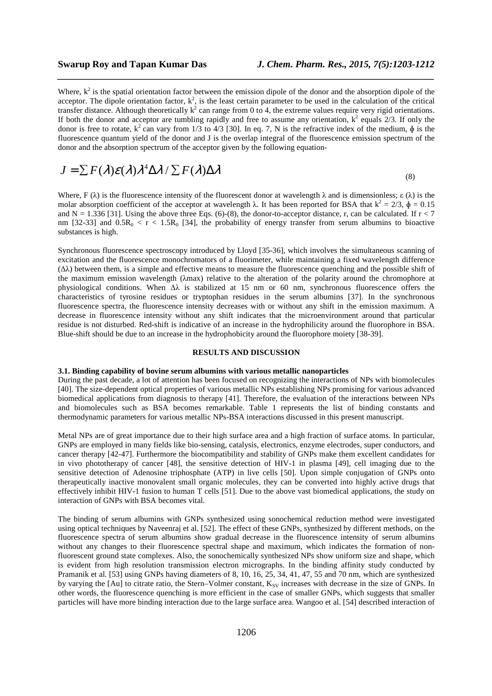Where,  $k^2$  is the spatial orientation factor between the emission dipole of the donor and the absorption dipole of the acceptor. The dipole orientation factor,  $k^2$ , is the least certain parameter to be used in the calculation of the critical transfer distance. Although theoretically  $k^2$  can range from 0 to 4, the extreme values require very rigid orientations. If both the donor and acceptor are tumbling rapidly and free to assume any orientation,  $k^2$  equals  $2/3$ . If only the donor is free to rotate,  $k^2$  can vary from 1/3 to 4/3 [30]. In eq. 7, N is the refractive index of the medium,  $\phi$  is the fluorescence quantum yield of the donor and J is the overlap integral of the fluorescence emission spectrum of the donor and the absorption spectrum of the acceptor given by the following equation-

*\_\_\_\_\_\_\_\_\_\_\_\_\_\_\_\_\_\_\_\_\_\_\_\_\_\_\_\_\_\_\_\_\_\_\_\_\_\_\_\_\_\_\_\_\_\_\_\_\_\_\_\_\_\_\_\_\_\_\_\_\_\_\_\_\_\_\_\_\_\_\_\_\_\_\_\_\_\_*

$$
J = \sum F(\lambda)\mathcal{E}(\lambda)\lambda^4 \Delta \lambda / \sum F(\lambda)\Delta \lambda
$$
\n(8)

Where, F ( $\lambda$ ) is the fluorescence intensity of the fluorescent donor at wavelength  $\lambda$  and is dimensionless;  $\varepsilon(\lambda)$  is the molar absorption coefficient of the acceptor at wavelength  $\lambda$ . It has been reported for BSA that  $k^2 = 2/3$ ,  $\phi = 0.15$ and  $N = 1.336$  [31]. Using the above three Eqs. (6)-(8), the donor-to-acceptor distance, r, can be calculated. If  $r < 7$ nm [32-33] and  $0.5R_0 < r < 1.5R_0$  [34], the probability of energy transfer from serum albumins to bioactive substances is high.

Synchronous fluorescence spectroscopy introduced by Lloyd [35-36], which involves the simultaneous scanning of excitation and the fluorescence monochromators of a fluorimeter, while maintaining a fixed wavelength difference (∆λ) between them, is a simple and effective means to measure the fluorescence quenching and the possible shift of the maximum emission wavelength (λmax) relative to the alteration of the polarity around the chromophore at physiological conditions. When  $\Delta\lambda$  is stabilized at 15 nm or 60 nm, synchronous fluorescence offers the characteristics of tyrosine residues or tryptophan residues in the serum albumins [37]. In the synchronous fluorescence spectra, the fluorescence intensity decreases with or without any shift in the emission maximum. A decrease in fluorescence intensity without any shift indicates that the microenvironment around that particular residue is not disturbed. Red-shift is indicative of an increase in the hydrophilicity around the fluorophore in BSA. Blue-shift should be due to an increase in the hydrophobicity around the fluorophore moiety [38-39].

#### **RESULTS AND DISCUSSION**

### **3.1. Binding capability of bovine serum albumins with various metallic nanoparticles**

During the past decade, a lot of attention has been focused on recognizing the interactions of NPs with biomolecules [40]. The size-dependent optical properties of various metallic NPs establishing NPs promising for various advanced biomedical applications from diagnosis to therapy [41]. Therefore, the evaluation of the interactions between NPs and biomolecules such as BSA becomes remarkable. Table 1 represents the list of binding constants and thermodynamic parameters for various metallic NPs-BSA interactions discussed in this present manuscript.

Metal NPs are of great importance due to their high surface area and a high fraction of surface atoms. In particular, GNPs are employed in many fields like bio-sensing, catalysis, electronics, enzyme electrodes, super conductors, and cancer therapy [42-47]. Furthermore the biocompatibility and stability of GNPs make them excellent candidates for in vivo phototherapy of cancer [48], the sensitive detection of HIV-1 in plasma [49], cell imaging due to the sensitive detection of Adenosine triphosphate (ATP) in live cells [50]. Upon simple conjugation of GNPs onto therapeutically inactive monovalent small organic molecules, they can be converted into highly active drugs that effectively inhibit HIV-1 fusion to human T cells [51]. Due to the above vast biomedical applications, the study on interaction of GNPs with BSA becomes vital.

The binding of serum albumins with GNPs synthesized using sonochemical reduction method were investigated using optical techniques by Naveenraj et al. [52]. The effect of these GNPs, synthesized by different methods, on the fluorescence spectra of serum albumins show gradual decrease in the fluorescence intensity of serum albumins without any changes to their fluorescence spectral shape and maximum, which indicates the formation of nonfluorescent ground state complexes. Also, the sonochemically synthesized NPs show uniform size and shape, which is evident from high resolution transmission electron micrographs. In the binding affinity study conducted by Pramanik et al. [53] using GNPs having diameters of 8, 10, 16, 25, 34, 41, 47, 55 and 70 nm, which are synthesized by varying the [Au] to citrate ratio, the Stern–Volmer constant, K<sub>SV</sub> increases with decrease in the size of GNPs. In other words, the fluorescence quenching is more efficient in the case of smaller GNPs, which suggests that smaller particles will have more binding interaction due to the large surface area. Wangoo et al. [54] described interaction of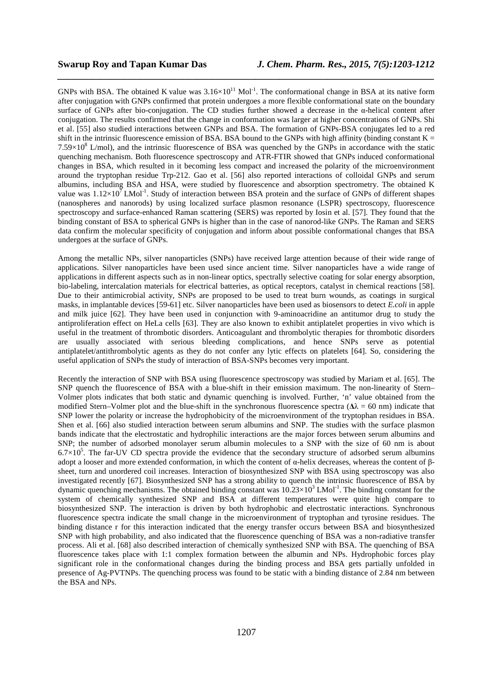GNPs with BSA. The obtained K value was  $3.16\times10^{11}$  Mol<sup>-1</sup>. The conformational change in BSA at its native form after conjugation with GNPs confirmed that protein undergoes a more flexible conformational state on the boundary surface of GNPs after bio-conjugation. The CD studies further showed a decrease in the α-helical content after conjugation. The results confirmed that the change in conformation was larger at higher concentrations of GNPs. Shi et al. [55] also studied interactions between GNPs and BSA. The formation of GNPs-BSA conjugates led to a red shift in the intrinsic fluorescence emission of BSA. BSA bound to the GNPs with high affinity (binding constant  $K =$  $7.59\times10^8$  L/mol), and the intrinsic fluorescence of BSA was quenched by the GNPs in accordance with the static quenching mechanism. Both fluorescence spectroscopy and ATR-FTIR showed that GNPs induced conformational changes in BSA, which resulted in it becoming less compact and increased the polarity of the microenvironment around the tryptophan residue Trp-212. Gao et al. [56] also reported interactions of colloidal GNPs and serum albumins, including BSA and HSA, were studied by fluorescence and absorption spectrometry. The obtained K value was  $1.12\times10^7$  LMol<sup>-1</sup>. Study of interaction between BSA protein and the surface of GNPs of different shapes (nanospheres and nanorods) by using localized surface plasmon resonance (LSPR) spectroscopy, fluorescence spectroscopy and surface-enhanced Raman scattering (SERS) was reported by Iosin et al. [57]. They found that the binding constant of BSA to spherical GNPs is higher than in the case of nanorod-like GNPs. The Raman and SERS data confirm the molecular specificity of conjugation and inform about possible conformational changes that BSA undergoes at the surface of GNPs.

*\_\_\_\_\_\_\_\_\_\_\_\_\_\_\_\_\_\_\_\_\_\_\_\_\_\_\_\_\_\_\_\_\_\_\_\_\_\_\_\_\_\_\_\_\_\_\_\_\_\_\_\_\_\_\_\_\_\_\_\_\_\_\_\_\_\_\_\_\_\_\_\_\_\_\_\_\_\_*

Among the metallic NPs, silver nanoparticles (SNPs) have received large attention because of their wide range of applications. Silver nanoparticles have been used since ancient time. Silver nanoparticles have a wide range of applications in different aspects such as in non-linear optics, spectrally selective coating for solar energy absorption, bio-labeling, intercalation materials for electrical batteries, as optical receptors, catalyst in chemical reactions [58]. Due to their antimicrobial activity, SNPs are proposed to be used to treat burn wounds, as coatings in surgical masks, in implantable devices [59-61] etc. Silver nanoparticles have been used as biosensors to detect *E.coli* in apple and milk juice [62]. They have been used in conjunction with 9-aminoacridine an antitumor drug to study the antiproliferation effect on HeLa cells [63]. They are also known to exhibit antiplatelet properties in vivo which is useful in the treatment of thrombotic disorders. Anticoagulant and thrombolytic therapies for thrombotic disorders are usually associated with serious bleeding complications, and hence SNPs serve as potential antiplatelet/antithrombolytic agents as they do not confer any lytic effects on platelets [64]. So, considering the useful application of SNPs the study of interaction of BSA-SNPs becomes very important.

Recently the interaction of SNP with BSA using fluorescence spectroscopy was studied by Mariam et al. [65]. The SNP quench the fluorescence of BSA with a blue-shift in their emission maximum. The non-linearity of Stern– Volmer plots indicates that both static and dynamic quenching is involved. Further, 'n' value obtained from the modified Stern–Volmer plot and the blue-shift in the synchronous fluorescence spectra ( $\Delta\lambda = 60$  nm) indicate that SNP lower the polarity or increase the hydrophobicity of the microenvironment of the tryptophan residues in BSA. Shen et al. [66] also studied interaction between serum albumins and SNP. The studies with the surface plasmon bands indicate that the electrostatic and hydrophilic interactions are the major forces between serum albumins and SNP; the number of adsorbed monolayer serum albumin molecules to a SNP with the size of 60 nm is about  $6.7\times10^5$ . The far-UV CD spectra provide the evidence that the secondary structure of adsorbed serum albumins adopt a looser and more extended conformation, in which the content of α*-*helix decreases, whereas the content of βsheet, turn and unordered coil increases. Interaction of biosynthesized SNP with BSA using spectroscopy was also investigated recently [67]. Biosynthesized SNP has a strong ability to quench the intrinsic fluorescence of BSA by dynamic quenching mechanisms. The obtained binding constant was  $10.23\times10^3$  LMol<sup>-1</sup>. The binding constant for the system of chemically synthesized SNP and BSA at different temperatures were quite high compare to biosynthesized SNP. The interaction is driven by both hydrophobic and electrostatic interactions. Synchronous fluorescence spectra indicate the small change in the microenvironment of tryptophan and tyrosine residues. The binding distance r for this interaction indicated that the energy transfer occurs between BSA and biosynthesized SNP with high probability, and also indicated that the fluorescence quenching of BSA was a non-radiative transfer process. Ali et al. [68] also described interaction of chemically synthesized SNP with BSA. The quenching of BSA fluorescence takes place with 1:1 complex formation between the albumin and NPs. Hydrophobic forces play significant role in the conformational changes during the binding process and BSA gets partially unfolded in presence of Ag-PVTNPs. The quenching process was found to be static with a binding distance of 2.84 nm between the BSA and NPs.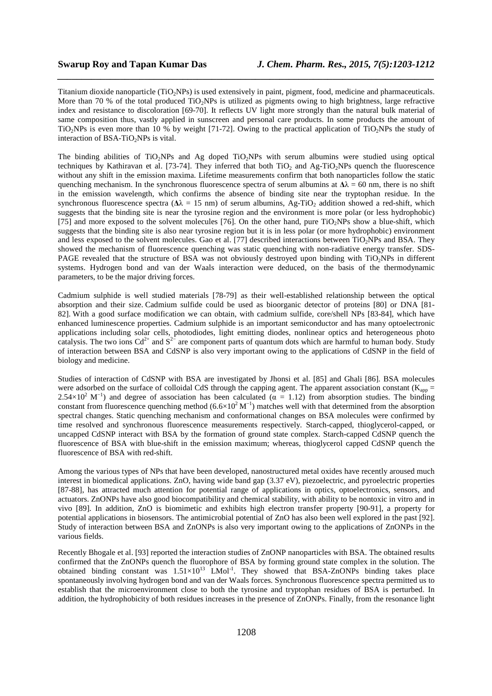Titanium dioxide nanoparticle ( $TiO_2NPs$ ) is used extensively in paint, pigment, food, medicine and pharmaceuticals. More than 70 % of the total produced  $TiO<sub>2</sub>NPs$  is utilized as pigments owing to high brightness, large refractive index and resistance to discoloration [69-70]. It reflects UV light more strongly than the natural bulk material of same composition thus, vastly applied in sunscreen and personal care products. In some products the amount of TiO<sub>2</sub>NPs is even more than 10 % by weight [71-72]. Owing to the practical application of TiO<sub>2</sub>NPs the study of interaction of BSA-TiO<sub>2</sub>NPs is vital.

*\_\_\_\_\_\_\_\_\_\_\_\_\_\_\_\_\_\_\_\_\_\_\_\_\_\_\_\_\_\_\_\_\_\_\_\_\_\_\_\_\_\_\_\_\_\_\_\_\_\_\_\_\_\_\_\_\_\_\_\_\_\_\_\_\_\_\_\_\_\_\_\_\_\_\_\_\_\_*

The binding abilities of TiO<sub>2</sub>NPs and Ag doped TiO<sub>2</sub>NPs with serum albumins were studied using optical techniques by Kathiravan et al. [73-74]. They inferred that both  $TiO<sub>2</sub>$  and Ag-TiO<sub>2</sub>NPs quench the fluorescence without any shift in the emission maxima. Lifetime measurements confirm that both nanoparticles follow the static quenching mechanism. In the synchronous fluorescence spectra of serum albumins at  $\Delta\lambda = 60$  nm, there is no shift in the emission wavelength, which confirms the absence of binding site near the tryptophan residue. In the synchronous fluorescence spectra ( $\Delta\lambda$  = 15 nm) of serum albumins, Ag-TiO<sub>2</sub> addition showed a red-shift, which suggests that the binding site is near the tyrosine region and the environment is more polar (or less hydrophobic) [75] and more exposed to the solvent molecules [76]. On the other hand, pure  $TiO<sub>2</sub>NPs$  show a blue-shift, which suggests that the binding site is also near tyrosine region but it is in less polar (or more hydrophobic) environment and less exposed to the solvent molecules. Gao et al. [77] described interactions between TiO<sub>2</sub>NPs and BSA. They showed the mechanism of fluorescence quenching was static quenching with non-radiative energy transfer. SDS-PAGE revealed that the structure of BSA was not obviously destroyed upon binding with TiO<sub>2</sub>NPs in different systems. Hydrogen bond and van der Waals interaction were deduced, on the basis of the thermodynamic parameters, to be the major driving forces.

Cadmium sulphide is well studied materials [78-79] as their well-established relationship between the optical absorption and their size. Cadmium sulfide could be used as bioorganic detector of proteins [80] or DNA [81- 82]. With a good surface modification we can obtain, with cadmium sulfide, core/shell NPs [83-84], which have enhanced luminescence properties. Cadmium sulphide is an important semiconductor and has many optoelectronic applications including solar cells, photodiodes, light emitting diodes, nonlinear optics and heterogeneous photo catalysis. The two ions  $Cd^{2+}$  and  $S^{2-}$  are component parts of quantum dots which are harmful to human body. Study of interaction between BSA and CdSNP is also very important owing to the applications of CdSNP in the field of biology and medicine.

Studies of interaction of CdSNP with BSA are investigated by Jhonsi et al. [85] and Ghali [86]. BSA molecules were adsorbed on the surface of colloidal CdS through the capping agent. The apparent association constant ( $K_{app}$  =  $2.54\times10^2$  M<sup>-1</sup>) and degree of association has been calculated ( $\alpha$  = 1.12) from absorption studies. The binding constant from fluorescence quenching method  $(6.6\times10^2\,\rm{M}^{-1})$  matches well with that determined from the absorption spectral changes. Static quenching mechanism and conformational changes on BSA molecules were confirmed by time resolved and synchronous fluorescence measurements respectively. Starch-capped, thioglycerol-capped, or uncapped CdSNP interact with BSA by the formation of ground state complex. Starch-capped CdSNP quench the fluorescence of BSA with blue-shift in the emission maximum; whereas, thioglycerol capped CdSNP quench the fluorescence of BSA with red-shift.

Among the various types of NPs that have been developed, nanostructured metal oxides have recently aroused much interest in biomedical applications. ZnO, having wide band gap (3.37 eV), piezoelectric, and pyroelectric properties [87-88], has attracted much attention for potential range of applications in optics, optoelectronics, sensors, and actuators. ZnONPs have also good biocompatibility and chemical stability, with ability to be nontoxic in vitro and in vivo [89]. In addition, ZnO is biomimetic and exhibits high electron transfer property [90-91], a property for potential applications in biosensors. The antimicrobial potential of ZnO has also been well explored in the past [92]. Study of interaction between BSA and ZnONPs is also very important owing to the applications of ZnONPs in the various fields.

Recently Bhogale et al. [93] reported the interaction studies of ZnONP nanoparticles with BSA. The obtained results confirmed that the ZnONPs quench the fluorophore of BSA by forming ground state complex in the solution. The obtained binding constant was  $1.51\times10^{13}$  LMol<sup>-1</sup>. They showed that BSA-ZnONPs binding takes place spontaneously involving hydrogen bond and van der Waals forces. Synchronous fluorescence spectra permitted us to establish that the microenvironment close to both the tyrosine and tryptophan residues of BSA is perturbed. In addition, the hydrophobicity of both residues increases in the presence of ZnONPs. Finally, from the resonance light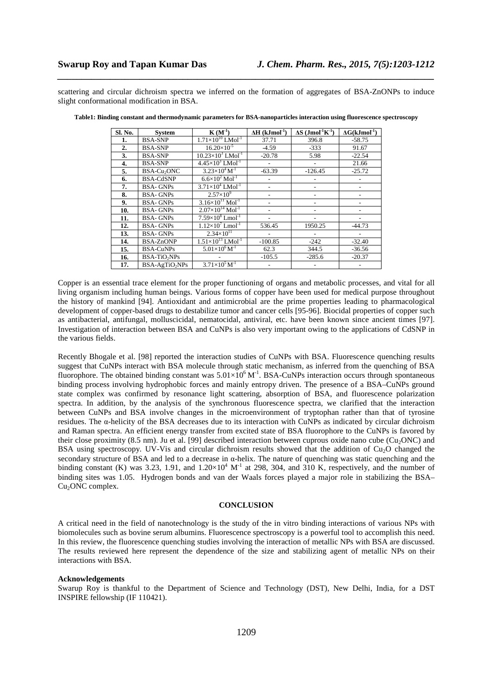scattering and circular dichroism spectra we inferred on the formation of aggregates of BSA-ZnONPs to induce slight conformational modification in BSA.

*\_\_\_\_\_\_\_\_\_\_\_\_\_\_\_\_\_\_\_\_\_\_\_\_\_\_\_\_\_\_\_\_\_\_\_\_\_\_\_\_\_\_\_\_\_\_\_\_\_\_\_\_\_\_\_\_\_\_\_\_\_\_\_\_\_\_\_\_\_\_\_\_\_\_\_\_\_\_*

| Sl. No. | <b>System</b>                 | $\mathbf{K}(\mathbf{M}^{-1})$          | $\Delta H$ (kJmol <sup>-1</sup> ) | $\Delta S$ (Jmol <sup>-1</sup> K <sup>-1</sup> ) | $\Delta G(kJmol^{-1})$ |
|---------|-------------------------------|----------------------------------------|-----------------------------------|--------------------------------------------------|------------------------|
| 1.      | <b>BSA-SNP</b>                | $1.71\times10^{10}$ LMol <sup>-1</sup> | 37.71                             | 396.8                                            | $-58.75$               |
| 2.      | <b>BSA-SNP</b>                | $16.20\times10^{-5}$                   | $-4.59$                           | $-333$                                           | 91.67                  |
| 3.      | <b>BSA-SNP</b>                | $10.23 \times 10^3$ LMol <sup>-1</sup> | $-20.78$                          | 5.98                                             | $-22.54$               |
| 4.      | <b>BSA-SNP</b>                | $4.45\times10^{3}$ LMol <sup>-1</sup>  |                                   |                                                  | 21.66                  |
| 5.      | BSA-Cu <sub>2</sub> ONC       | $3.23\times10^4$ M <sup>-1</sup>       | $-63.39$                          | $-126.45$                                        | $-25.72$               |
| 6.      | <b>BSA-CdSNP</b>              | $6.6\times10^{2}$ Mol <sup>-1</sup>    |                                   |                                                  |                        |
| 7.      | <b>BSA-GNPs</b>               | $3.71\times10^4$ LMol <sup>-1</sup>    |                                   |                                                  |                        |
| 8.      | <b>BSA-GNPs</b>               | $2.57\times10^{9}$                     |                                   |                                                  |                        |
| 9.      | <b>BSA-GNPs</b>               | $3.16\times10^{11}$ Mol <sup>-1</sup>  |                                   |                                                  |                        |
| 10.     | <b>BSA-GNPs</b>               | $2.07\times10^{14}$ Mol <sup>-1</sup>  |                                   |                                                  |                        |
| 11.     | <b>BSA-GNPs</b>               | $7.59\times10^{8}$ Lmol <sup>-1</sup>  |                                   |                                                  |                        |
| 12.     | <b>BSA-GNPs</b>               | $1.12\times10^{7}$ Lmol <sup>-1</sup>  | 536.45                            | 1950.25                                          | $-44.73$               |
| 13.     | <b>BSA-GNPs</b>               | $2.34\times10^{11}$                    |                                   |                                                  |                        |
| 14.     | <b>BSA-ZnONP</b>              | $1.51\times10^{13}$ LMol <sup>-1</sup> | $-100.85$                         | $-242$                                           | $-32.40$               |
| 15.     | <b>BSA-CuNPs</b>              | $5.01\times10^{6}$ M <sup>-1</sup>     | 62.3                              | 344.5                                            | $-36.56$               |
| 16.     | <b>BSA-TiO<sub>2</sub>NPs</b> |                                        | $-105.5$                          | $-285.6$                                         | $-20.37$               |
| 17.     | BSA-AgTiO <sub>2</sub> NPs    | $3.71\times10^{5}M^{-1}$               |                                   |                                                  |                        |

**Table1: Binding constant and thermodynamic parameters for BSA-nanoparticles interaction using fluorescence spectroscopy** 

Copper is an essential trace element for the proper functioning of organs and metabolic processes, and vital for all living organism including human beings. Various forms of copper have been used for medical purpose throughout the history of mankind [94]. Antioxidant and antimicrobial are the prime properties leading to pharmacological development of copper-based drugs to destabilize tumor and cancer cells [95-96]. Biocidal properties of copper such as antibacterial, antifungal, molluscicidal, nematocidal, antiviral, etc. have been known since ancient times [97]. Investigation of interaction between BSA and CuNPs is also very important owing to the applications of CdSNP in the various fields.

Recently Bhogale et al. [98] reported the interaction studies of CuNPs with BSA. Fluorescence quenching results suggest that CuNPs interact with BSA molecule through static mechanism, as inferred from the quenching of BSA fluorophore. The obtained binding constant was  $5.01\times10^6$  M<sup>-1</sup>. BSA-CuNPs interaction occurs through spontaneous binding process involving hydrophobic forces and mainly entropy driven. The presence of a BSA–CuNPs ground state complex was confirmed by resonance light scattering, absorption of BSA, and fluorescence polarization spectra. In addition, by the analysis of the synchronous fluorescence spectra, we clarified that the interaction between CuNPs and BSA involve changes in the microenvironment of tryptophan rather than that of tyrosine residues. The  $\alpha$ -helicity of the BSA decreases due to its interaction with CuNPs as indicated by circular dichroism and Raman spectra. An efficient energy transfer from excited state of BSA fluorophore to the CuNPs is favored by their close proximity (8.5 nm). Ju et al. [99] described interaction between cuprous oxide nano cube ( $Cu<sub>2</sub>ONC$ ) and BSA using spectroscopy. UV-Vis and circular dichroism results showed that the addition of Cu<sub>2</sub>O changed the secondary structure of BSA and led to a decrease in α-helix. The nature of quenching was static quenching and the binding constant (K) was 3.23, 1.91, and  $1.20 \times 10^4$  M<sup>-1</sup> at 298, 304, and 310 K, respectively, and the number of binding sites was 1.05. Hydrogen bonds and van der Waals forces played a major role in stabilizing the BSA– Cu<sub>2</sub>ONC complex.

#### **CONCLUSION**

A critical need in the field of nanotechnology is the study of the in vitro binding interactions of various NPs with biomolecules such as bovine serum albumins. Fluorescence spectroscopy is a powerful tool to accomplish this need. In this review, the fluorescence quenching studies involving the interaction of metallic NPs with BSA are discussed. The results reviewed here represent the dependence of the size and stabilizing agent of metallic NPs on their interactions with BSA.

#### **Acknowledgements**

Swarup Roy is thankful to the Department of Science and Technology (DST), New Delhi, India, for a DST INSPIRE fellowship (IF 110421).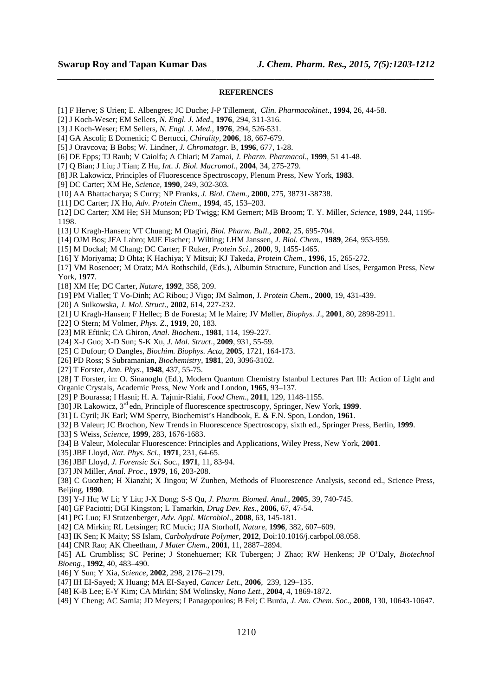### **REFERENCES**

*\_\_\_\_\_\_\_\_\_\_\_\_\_\_\_\_\_\_\_\_\_\_\_\_\_\_\_\_\_\_\_\_\_\_\_\_\_\_\_\_\_\_\_\_\_\_\_\_\_\_\_\_\_\_\_\_\_\_\_\_\_\_\_\_\_\_\_\_\_\_\_\_\_\_\_\_\_\_*

- [1] F Herve; S Urien; E. Albengres; JC Duche; J-P Tillement, *Clin. Pharmacokinet*., **1994**, 26, 44-58.
- [2] J Koch-Weser; EM Sellers, *N. Engl. J. Med*., **1976**, 294, 311-316.
- [3] J Koch-Weser; EM Sellers, *N. Engl. J. Med.,* **1976**, 294, 526-531.
- [4] GA Ascoli; E Domenici; C Bertucci, *Chirality,* **2006**, 18, 667-679.
- [5] J Oravcova; B Bobs; W. Lindner, *J. Chromatogr*. B, **1996**, 677, 1-28.
- [6] DE Epps; TJ Raub; V Caiolfa; A Chiari; M Zamai, *J. Pharm. Pharmacol*., **1999**, 51 41-48.
- [7] Q Bian; J Liu; J Tian; Z Hu, *Int. J. Biol. Macromol*., **2004**, 34, 275-279.
- [8] JR Lakowicz, Principles of Fluorescence Spectroscopy, Plenum Press, New York, **1983**.
- [9] DC Carter; XM He, *Science,* **1990**, 249, 302-303.
- [10] AA Bhattacharya; S Curry; NP Franks, *J. Biol. Chem*., **2000**, 275, 38731-38738.
- [11] DC Carter; JX Ho, *Adv. Protein Chem*., **1994**, 45, 153–203.
- [12] DC Carter; XM He; SH Munson; PD Twigg; KM Gernert; MB Broom; T. Y. Miller, *Science,* **1989**, 244, 1195- 1198.
- [13] U Kragh-Hansen; VT Chuang; M Otagiri, *Biol. Pharm. Bull.,* **2002**, 25, 695-704.
- [14] OJM Bos; JFA Labro; MJE Fischer; J Wilting; LHM Janssen, *J. Biol. Chem*., **1989**, 264, 953-959.
- [15] M Dockal; M Chang; DC Carter; F Ruker, *Protein Sci*., **2000**, 9, 1455-1465.
- [16] Y Moriyama; D Ohta; K Hachiya; Y Mitsui; KJ Takeda, *Protein Chem*., **1996**, 15, 265-272.
- [17] VM Rosenoer; M Oratz; MA Rothschild, (Eds.), Albumin Structure, Function and Uses, Pergamon Press, New York, **1977**.
- [18] XM He; DC Carter, *Nature*, **1992**, 358, 209.
- [19] PM Viallet; T Vo-Dinh; AC Ribou; J Vigo; JM Salmon, J*. Protein Chem*., **2000**, 19, 431-439.
- [20] A Sulkowska, *J. Mol. Struct*., **2002**, 614, 227-232.
- [21] U Kragh-Hansen; F Hellec; B de Foresta; M le Maire; JV Møller, *Biophys. J*., **2001**, 80, 2898-2911.
- [22] O Stern; M Volmer, *Phys. Z*., **1919**, 20, 183.
- [23] MR Eftink; CA Ghiron, *Anal. Biochem*., **1981**, 114, 199-227.
- [24] X-J Guo; X-D Sun; S-K Xu, *J. Mol. Struct*., **2009**, 931, 55-59.
- [25] C Dufour; O Dangles, *Biochim. Biophys. Acta*, **2005**, 1721, 164-173.
- [26] PD Ross; S Subramanian, *Biochemistry*, **1981**, 20, 3096-3102.
- [27] T Forster, *Ann. Phys*., **1948**, 437, 55-75.
- [28] T Forster, in: O. Sinanoglu (Ed.), Modern Quantum Chemistry Istanbul Lectures Part III: Action of Light and Organic Crystals, Academic Press, New York and London, **1965**, 93–137.
- [29] P Bourassa; I Hasni; H. A. Tajmir-Riahi, *Food Chem*., **2011**, 129, 1148-1155.
- [30] JR Lakowicz, 3rd edn, Principle of fluorescence spectroscopy, Springer, New York, **1999**.
- [31] L Cyril; JK Earl; WM Sperry, Biochemist's Handbook, E. & F.N. Spon, London, **1961**.
- [32] B Valeur; JC Brochon, New Trends in Fluorescence Spectroscopy, sixth ed., Springer Press, Berlin, **1999**.
- [33] S Weiss, *Science*, **1999**, 283, 1676-1683.
- [34] B Valeur, Molecular Fluorescence: Principles and Applications, Wiley Press, New York, **2001**.
- [35] JBF Lloyd, *Nat. Phys. Sci*., **1971**, 231, 64-65.
- [36] JBF Lloyd, *J. Forensic Sci*. Soc., **1971**, 11, 83-94.
- [37] JN Miller, *Anal. Proc*., **1979**, 16, 203-208.
- [38] C Guozhen; H Xianzhi; X Jingou; W Zunben, Methods of Fluorescence Analysis, second ed., Science Press, Beijing, **1990**.
- [39] Y-J Hu; W Li; Y Liu; J-X Dong; S-S Qu, *J. Pharm. Biomed. Anal*., **2005**, 39, 740-745.
- [40] GF Paciotti; DGI Kingston; L Tamarkin, *Drug Dev. Res*., **2006**, 67, 47-54.
- [41] PG Luo; FJ Stutzenberger, *Adv. Appl. Microbiol*., **2008**, 63, 145-181.
- [42] CA Mirkin; RL Letsinger; RC Mucic; JJA Storhoff, *Nature*, **1996**, 382, 607–609.
- [43] IK Sen; K Maity; SS Islam, *Carbohydrate Polymer*, **2012**, Doi:10.1016/j.carbpol.08.058.
- [44] CNR Rao; AK Cheetham, *J Mater Chem*., **2001**, 11, 2887–2894.
- [45] AL Crumbliss; SC Perine; J Stonehuerner; KR Tubergen; J Zhao; RW Henkens; JP O'Daly, *Biotechnol Bioeng*., **1992**, 40, 483–490.
- [46] Y Sun; Y Xia, *Science*, **2002**, 298, 2176–2179.
- [47] IH EI-Sayed; X Huang; MA EI-Sayed, *Cancer Lett*., **2006**, 239, 129–135.
- [48] K-B Lee; E-Y Kim; CA Mirkin; SM Wolinsky, *Nano Lett*., **2004**, 4, 1869-1872.
- [49] Y Cheng; AC Samia; JD Meyers; I Panagopoulos; B Fei; C Burda, *J. Am. Chem. Soc*., **2008**, 130, 10643-10647.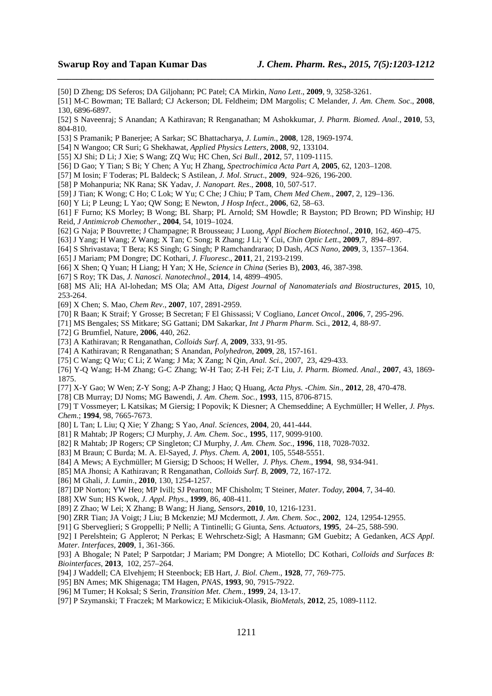- [50] D Zheng; DS Seferos; DA Giljohann; PC Patel; CA Mirkin, *Nano Lett*., **2009**, 9, 3258-3261.
- [51] M-C Bowman; TE Ballard; CJ Ackerson; DL Feldheim; DM Margolis; C Melander, *J. Am. Chem. Soc*., **2008**, 130, 6896-6897.

*\_\_\_\_\_\_\_\_\_\_\_\_\_\_\_\_\_\_\_\_\_\_\_\_\_\_\_\_\_\_\_\_\_\_\_\_\_\_\_\_\_\_\_\_\_\_\_\_\_\_\_\_\_\_\_\_\_\_\_\_\_\_\_\_\_\_\_\_\_\_\_\_\_\_\_\_\_\_*

- [52] S Naveenraj; S Anandan; A Kathiravan; R Renganathan; M Ashokkumar, *J. Pharm. Biomed. Anal*., **2010**, 53, 804-810.
- [53] S Pramanik; P Banerjee; A Sarkar; SC Bhattacharya, *J. Lumin*., **2008**, 128, 1969-1974.
- [54] N Wangoo; CR Suri; G Shekhawat, *Applied Physics Letters*, **2008**, 92, 133104.
- [55] XJ Shi; D Li; J Xie; S Wang; ZQ Wu; HC Chen, *Sci Bull.*, **2012**, 57, 1109-1115.
- [56] D Gao; Y Tian; S Bi; Y Chen; A Yu; H Zhang, *Spectrochimica Acta Part A*, **2005**, 62, 1203–1208.
- [57] M Iosin; F Toderas; PL Baldeck; S Astilean, *J. Mol. Struct*., **2009**, 924–926, 196-200.
- [58] P Mohanpuria; NK Rana; SK Yadav, *J. Nanopart. Res*., **2008**, 10, 507-517.
- [59] J Tian; K Wong; C Ho; C Lok; W Yu; C Che; J Chiu; P Tam, *Chem Med Chem*., **2007**, 2, 129–136.
- [60] Y Li; P Leung; L Yao; QW Song; E Newton, *J Hosp Infect*., **2006**, 62, 58–63.
- [61] F Furno; KS Morley; B Wong; BL Sharp; PL Arnold; SM Howdle; R Bayston; PD Brown; PD Winship; HJ Reid, *J Antimicrob Chemother*., **2004**, 54, 1019–1024.
- [62] G Naja; P Bouvrette; J Champagne; R Brousseau; J Luong, *Appl Biochem Biotechnol*., **2010**, 162, 460–475.
- [63] J Yang; H Wang; Z Wang; X Tan; C Song; R Zhang; J Li; Y Cui, *Chin Optic Lett*., **2009**,7, 894–897.
- [64] S Shrivastava; T Bera; KS Singh; G Singh; P Ramchandrarao; D Dash, *ACS Nano*, **2009**, 3, 1357–1364.
- [65] J Mariam; PM Dongre; DC Kothari, *J. Fluoresc*., **2011**, 21, 2193-2199.
- [66] X Shen; Q Yuan; H Liang; H Yan; X He, *Science in China* (Series B), **2003**, 46, 387-398.
- [67] S Roy; TK Das, *J. Nanosci. Nanotechnol*., **2014**, 14, 4899–4905.

[68] MS Ali; HA Al-lohedan; MS Ola; AM Atta, *Digest Journal of Nanomaterials and Biostructures*, **2015**, 10, 253-264.

- [69] X Chen; S. Mao, *Chem Rev*., **2007**, 107, 2891-2959.
- [70] R Baan; K Straif; Y Grosse; B Secretan; F El Ghissassi; V Cogliano, *Lancet Oncol*., **2006**, 7, 295-296.
- [71] MS Bengales; SS Mitkare; SG Gattani; DM Sakarkar, *Int J Pharm Pharm*. Sci., **2012**, 4, 88-97.
- [72] G Brumfiel, Nature, **2006**, 440, 262.
- [73] A Kathiravan; R Renganathan, *Colloids Surf. A*, **2009**, 333, 91-95.
- [74] A Kathiravan; R Renganathan; S Anandan, *Polyhedron*, **2009**, 28, 157-161.
- [75] C Wang; Q Wu; C Li; Z Wang; J Ma; X Zang; N Qin, *Anal. Sci*., 2007, 23, 429-433.
- [76] Y-Q Wang; H-M Zhang; G-C Zhang; W-H Tao; Z-H Fei; Z-T Liu, *J. Pharm. Biomed. Anal*., **2007**, 43, 1869- 1875.
- [77] X-Y Gao; W Wen; Z-Y Song; A-P Zhang; J Hao; Q Huang, *Acta Phys. -Chim. Sin*., **2012**, 28, 470-478.
- [78] CB Murray; DJ Noms; MG Bawendi, *J. Am. Chem. Soc.*, **1993**, 115, 8706-8715.

[79] T Vossmeyer; L Katsikas; M Giersig; I Popovik; K Diesner; A Chemseddine; A Eychmüller; H Weller, *J. Phys. Chem*.; **1994**, 98, 7665-7673.

- [80] L Tan; L Liu; Q Xie; Y Zhang; S Yao, *Anal. Sciences*, **2004**, 20, 441-444.
- [81] R Mahtab; JP Rogers; CJ Murphy, *J. Am. Chem. Soc*., **1995**, 117, 9099-9100.
- [82] R Mahtab; JP Rogers; CP Singleton; CJ Murphy, *J. Am. Chem. Soc.*, **1996**, 118, 7028-7032.
- [83] M Braun; C Burda; M. A. El-Sayed, *J. Phys. Chem. A*, **2001**, 105, 5548-5551.
- [84] A Mews; A Eychmüller; M Giersig; D Schoos; H Weller, *J. Phys. Chem*., **1994**, 98, 934-941.
- [85] MA Jhonsi; A Kathiravan; R Renganathan, *Colloids Surf. B*, **2009**, 72, 167-172.
- [86] M Ghali, *J. Lumin*., **2010**, 130, 1254-1257.
- [87] DP Norton; YW Heo; MP Ivill; SJ Pearton; MF Chisholm; T Steiner, *Mater. Today*, **2004**, 7, 34-40.
- [88] XW Sun; HS Kwok, *J. Appl. Phys*., **1999**, 86, 408-411.
- [89] Z Zhao; W Lei; X Zhang; B Wang; H Jiang, *Sensors*, **2010**, 10, 1216-1231.
- [90] ZRR Tian; JA Voigt; J Liu; B Mckenzie; MJ Mcdermott, *J. Am. Chem. Soc*., **2002**, 124, 12954-12955.
- [91] G Sberveglieri; S Groppelli; P Nelli; A Tintinelli; G Giunta, *Sens. Actuators*, **1995**, 24–25, 588-590.
- [92] I Perelshtein; G Applerot; N Perkas; E Wehrschetz-Sigl; A Hasmann; GM Guebitz; A Gedanken, *ACS Appl. Mater. Interfaces*, **2009**, 1, 361-366.
- [93] A Bhogale; N Patel; P Sarpotdar; J Mariam; PM Dongre; A Miotello; DC Kothari, *Colloids and Surfaces B: Biointerfaces*, **2013**, 102, 257–264.
- [94] J Waddell; CA Elvehjem; H Steenbock; EB Hart, *J. Biol. Chem*., **1928**, 77, 769-775.
- [95] BN Ames; MK Shigenaga; TM Hagen, *PNA*S, **1993**, 90, 7915-7922.
- [96] M Tumer; H Koksal; S Serin, *Transition Met. Chem*., **1999**, 24, 13-17.
- [97] P Szymanski; T Fraczek; M Markowicz; E Mikiciuk-Olasik, *BioMetals*, **2012**, 25, 1089-1112.